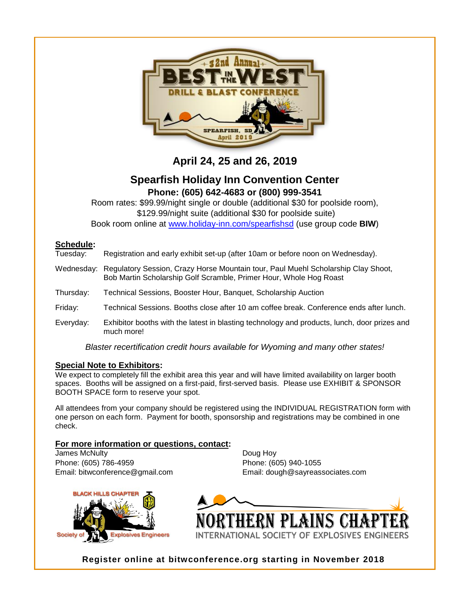

# **April 24, 25 and 26, 2019**

### **Spearfish Holiday Inn Convention Center Phone: (605) 642-4683 or (800) 999-3541**

Room rates: \$99.99/night single or double (additional \$30 for poolside room), \$129.99/night suite (additional \$30 for poolside suite) Book room online at [www.holiday-inn.com/spearfishsd](http://www.holiday-inn.com/spearfishsd) (use group code **BIW**)

### **Schedule:**

| Tuesday: | Registration and early exhibit set-up (after 10am or before noon on Wednesday). |
|----------|---------------------------------------------------------------------------------|
|          |                                                                                 |

- Wednesday: Regulatory Session, Crazy Horse Mountain tour, Paul Muehl Scholarship Clay Shoot, Bob Martin Scholarship Golf Scramble, Primer Hour, Whole Hog Roast
- Thursday: Technical Sessions, Booster Hour, Banquet, Scholarship Auction
- Friday: Technical Sessions. Booths close after 10 am coffee break. Conference ends after lunch.
- Everyday: Exhibitor booths with the latest in blasting technology and products, lunch, door prizes and much more!

*Blaster recertification credit hours available for Wyoming and many other states!*

#### **Special Note to Exhibitors:**

We expect to completely fill the exhibit area this year and will have limited availability on larger booth spaces. Booths will be assigned on a first-paid, first-served basis. Please use EXHIBIT & SPONSOR BOOTH SPACE form to reserve your spot.

All attendees from your company should be registered using the INDIVIDUAL REGISTRATION form with one person on each form. Payment for booth, sponsorship and registrations may be combined in one check.

### **For more information or questions, contact:**

**James McNulty Doug Hoy** Phone: (605) 786-4959 Phone: (605) 940-1055

**KHILLS CHAP Explosives Engineers** 

Email: bitwconference@gmail.com Email: dough@sayreassociates.com



**Register online at bitwconference.org starting in November 2018**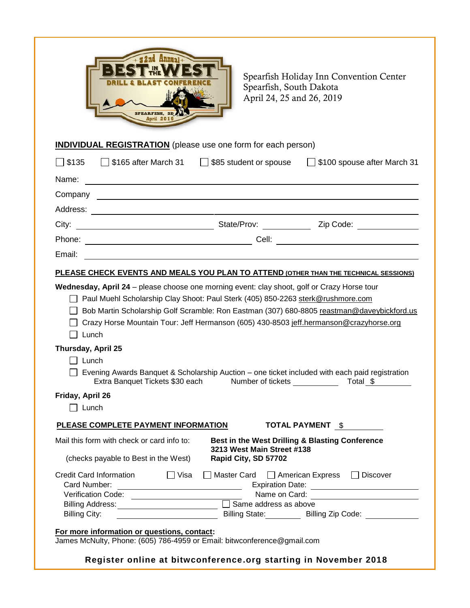

Spearfish Holiday Inn Convention Center Spearfish, South Dakota April 24, 25 and 26, 2019

## **INDIVIDUAL REGISTRATION** (please use one form for each person)

| \$135              | $\Box$ \$165 after March 31                                                                 | $\Box$ \$85 student or spouse                      | \$100 spouse after March 31                                                                    |
|--------------------|---------------------------------------------------------------------------------------------|----------------------------------------------------|------------------------------------------------------------------------------------------------|
| Name:              |                                                                                             |                                                    |                                                                                                |
| Company            |                                                                                             |                                                    |                                                                                                |
| Address:           |                                                                                             |                                                    |                                                                                                |
| City:              |                                                                                             |                                                    |                                                                                                |
| Phone:             |                                                                                             |                                                    |                                                                                                |
| Email:             |                                                                                             |                                                    |                                                                                                |
|                    |                                                                                             |                                                    | PLEASE CHECK EVENTS AND MEALS YOU PLAN TO ATTEND (OTHER THAN THE TECHNICAL SESSIONS)           |
|                    | Wednesday, April 24 - please choose one morning event: clay shoot, golf or Crazy Horse tour |                                                    |                                                                                                |
|                    |                                                                                             |                                                    |                                                                                                |
|                    | Paul Muehl Scholarship Clay Shoot: Paul Sterk (405) 850-2263 sterk@rushmore.com             |                                                    |                                                                                                |
|                    |                                                                                             |                                                    | Bob Martin Scholarship Golf Scramble: Ron Eastman (307) 680-8805 reastman@daveybickford.us     |
|                    |                                                                                             |                                                    | Crazy Horse Mountain Tour: Jeff Hermanson (605) 430-8503 jeff.hermanson@crazyhorse.org         |
| Lunch              |                                                                                             |                                                    |                                                                                                |
| Thursday, April 25 |                                                                                             |                                                    |                                                                                                |
| $\Box$ Lunch       |                                                                                             |                                                    |                                                                                                |
|                    |                                                                                             |                                                    | Evening Awards Banquet & Scholarship Auction - one ticket included with each paid registration |
|                    | Extra Banquet Tickets \$30 each                                                             |                                                    | Number of tickets Total \$                                                                     |
|                    |                                                                                             |                                                    |                                                                                                |
| Friday, April 26   |                                                                                             |                                                    |                                                                                                |
| Lunch              |                                                                                             |                                                    |                                                                                                |
|                    | PLEASE COMPLETE PAYMENT INFORMATION                                                         |                                                    | TOTAL PAYMENT \$                                                                               |
|                    | Mail this form with check or card info to:                                                  |                                                    | Best in the West Drilling & Blasting Conference                                                |
|                    | (checks payable to Best in the West)                                                        | 3213 West Main Street #138<br>Rapid City, SD 57702 |                                                                                                |
|                    |                                                                                             |                                                    |                                                                                                |
|                    | <b>Credit Card Information</b><br>$\Box$ Visa                                               |                                                    | Master Card   American Express  <br><b>Discover</b>                                            |
| Card Number:       |                                                                                             |                                                    |                                                                                                |
|                    |                                                                                             |                                                    |                                                                                                |
|                    |                                                                                             |                                                    |                                                                                                |
| Billing City:      | <u> 1990 - John Barn Barn, mars and de Barn Barn</u>                                        |                                                    |                                                                                                |
|                    | For more information or questions, contact:                                                 |                                                    |                                                                                                |
|                    | James McNulty, Phone: (605) 786-4959 or Email: bitwconference@gmail.com                     |                                                    |                                                                                                |
|                    |                                                                                             |                                                    |                                                                                                |
|                    | Register online at bitwconference.org starting in November 2018                             |                                                    |                                                                                                |